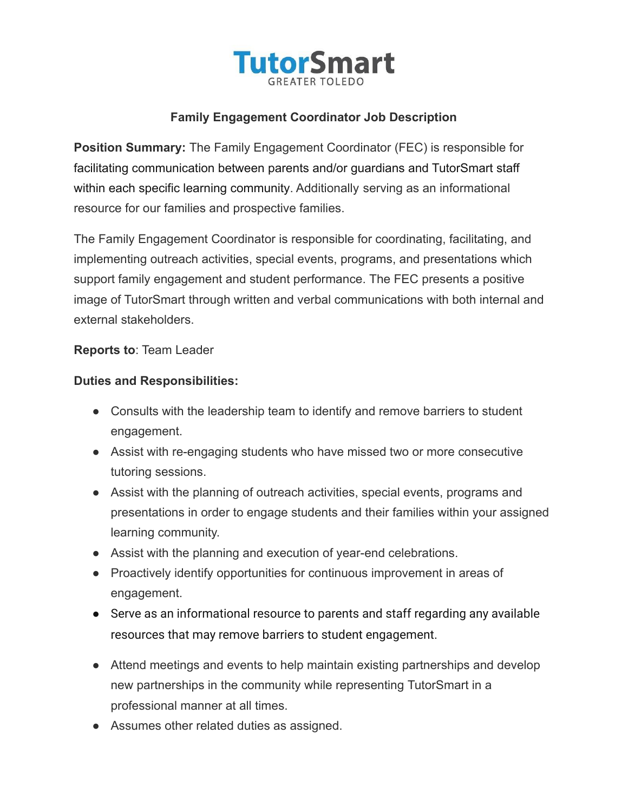

## **Family Engagement Coordinator Job Description**

**Position Summary:** The Family Engagement Coordinator (FEC) is responsible for facilitating communication between parents and/or guardians and TutorSmart staff within each specific learning community. Additionally serving as an informational resource for our families and prospective families.

The Family Engagement Coordinator is responsible for coordinating, facilitating, and implementing outreach activities, special events, programs, and presentations which support family engagement and student performance. The FEC presents a positive image of TutorSmart through written and verbal communications with both internal and external stakeholders.

**Reports to**: Team Leader

## **Duties and Responsibilities:**

- Consults with the leadership team to identify and remove barriers to student engagement.
- Assist with re-engaging students who have missed two or more consecutive tutoring sessions.
- Assist with the planning of outreach activities, special events, programs and presentations in order to engage students and their families within your assigned learning community.
- Assist with the planning and execution of year-end celebrations.
- Proactively identify opportunities for continuous improvement in areas of engagement.
- Serve as an informational resource to parents and staff regarding any available resources that may remove barriers to student engagement.
- Attend meetings and events to help maintain existing partnerships and develop new partnerships in the community while representing TutorSmart in a professional manner at all times.
- Assumes other related duties as assigned.